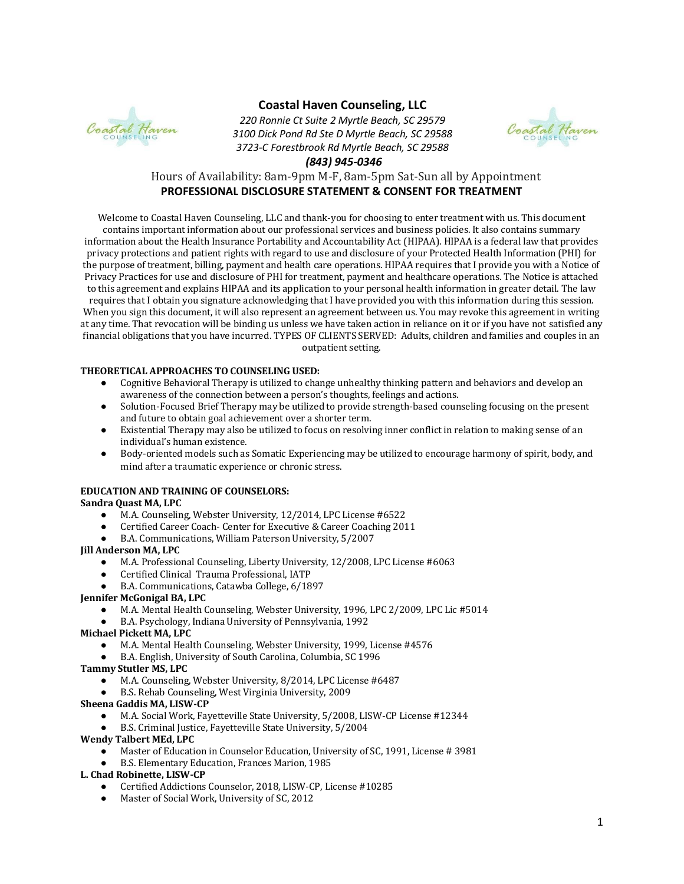

# **Coastal Haven Counseling, LLC**

*220 Ronnie Ct Suite 2 Myrtle Beach, SC 29579 3100 Dick Pond Rd Ste D Myrtle Beach, SC 29588 3723-C Forestbrook Rd Myrtle Beach, SC 29588*



### *(843) 945-0346*

# Hours of Availability: 8am-9pm M-F, 8am-5pm Sat-Sun all by Appointment **PROFESSIONAL DISCLOSURE STATEMENT & CONSENT FOR TREATMENT**

Welcome to Coastal Haven Counseling, LLC and thank-you for choosing to enter treatment with us. This document contains important information about our professional services and business policies. It also contains summary information about the Health Insurance Portability and Accountability Act (HIPAA). HIPAA is a federal law that provides privacy protections and patient rights with regard to use and disclosure of your Protected Health Information (PHI) for the purpose of treatment, billing, payment and health care operations. HIPAA requires that I provide you with a Notice of Privacy Practices for use and disclosure of PHI for treatment, payment and healthcare operations. The Notice is attached to this agreement and explains HIPAA and its application to your personal health information in greater detail. The law requires that I obtain you signature acknowledging that I have provided you with this information during this session. When you sign this document, it will also represent an agreement between us. You may revoke this agreement in writing at any time. That revocation will be binding us unless we have taken action in reliance on it or if you have not satisfied any financial obligations that you have incurred. TYPES OF CLIENTS SERVED: Adults, children and families and couples in an outpatient setting.

## **THEORETICAL APPROACHES TO COUNSELING USED:**

- Cognitive Behavioral Therapy is utilized to change unhealthy thinking pattern and behaviors and develop an awareness of the connection between a person's thoughts, feelings and actions.
- Solution-Focused Brief Therapy may be utilized to provide strength-based counseling focusing on the present and future to obtain goal achievement over a shorter term.
- Existential Therapy may also be utilized to focus on resolving inner conflict in relation to making sense of an individual's human existence.
- Body-oriented models such as Somatic Experiencing may be utilized to encourage harmony of spirit, body, and mind after a traumatic experience or chronic stress.

## **EDUCATION AND TRAINING OF COUNSELORS:**

#### **Sandra Quast MA, LPC**

- M.A. Counseling, Webster University, 12/2014, LPC License #6522
- Certified Career Coach- Center for Executive & Career Coaching 2011
- B.A. Communications, William Paterson University, 5/2007

#### **Jill Anderson MA, LPC**

- M.A. Professional Counseling, Liberty University, 12/2008, LPC License #6063
- Certified Clinical Trauma Professional, IATP
- B.A. Communications, Catawba College, 6/1897
- **Jennifer McGonigal BA, LPC**
	- M.A. Mental Health Counseling, Webster University, 1996, LPC 2/2009, LPC Lic #5014
	- B.A. Psychology, Indiana University of Pennsylvania, 1992

## **Michael Pickett MA, LPC**

- M.A. Mental Health Counseling, Webster University, 1999, License #4576
- B.A. English, University of South Carolina, Columbia, SC 1996

#### **Tammy Stutler MS, LPC**

- M.A. Counseling, Webster University, 8/2014, LPC License #6487
- B.S. Rehab Counseling, West Virginia University, 2009

## **Sheena Gaddis MA, LISW-CP**

- M.A. Social Work, Fayetteville State University, 5/2008, LISW-CP License #12344
- B.S. Criminal Justice, Fayetteville State University, 5/2004

#### **Wendy Talbert MEd, LPC**

- Master of Education in Counselor Education, University of SC, 1991, License # 3981
- B.S. Elementary Education, Frances Marion, 1985

#### **L. Chad Robinette, LISW-CP**

- Certified Addictions Counselor, 2018, LISW-CP, License #10285
- Master of Social Work, University of SC, 2012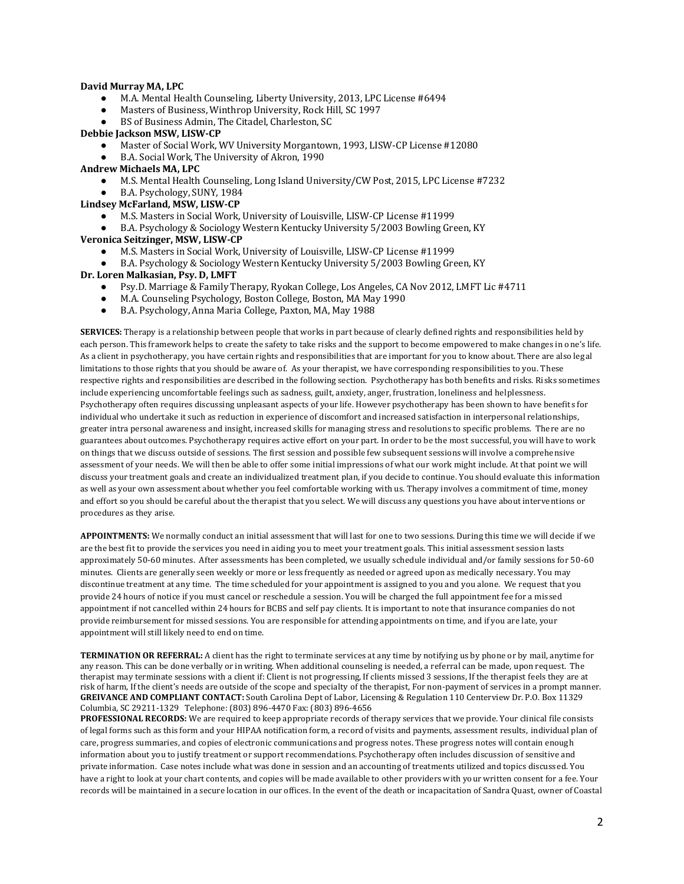#### **David Murray MA, LPC**

- M.A. Mental Health Counseling, Liberty University, 2013, LPC License #6494
- Masters of Business, Winthrop University, Rock Hill, SC 1997
- BS of Business Admin, The Citadel, Charleston, SC

#### **Debbie Jackson MSW, LISW-CP**

- Master of Social Work, WV University Morgantown, 1993, LISW-CP License #12080
- B.A. Social Work, The University of Akron, 1990

#### **Andrew Michaels MA, LPC**

- M.S. Mental Health Counseling, Long Island University/CW Post, 2015, LPC License #7232
- B.A. Psychology, SUNY, 1984

#### **Lindsey McFarland, MSW, LISW-CP**

- M.S. Masters in Social Work, University of Louisville, LISW-CP License #11999
- B.A. Psychology & Sociology Western Kentucky University 5/2003 Bowling Green, KY **Veronica Seitzinger, MSW, LISW-CP**
	- M.S. Masters in Social Work, University of Louisville, LISW-CP License #11999
	- B.A. Psychology & Sociology Western Kentucky University 5/2003 Bowling Green, KY

#### **Dr. Loren Malkasian, Psy. D, LMFT**

- Psy.D. Marriage & Family Therapy, Ryokan College, Los Angeles, CA Nov 2012, LMFT Lic #4711
- M.A. Counseling Psychology, Boston College, Boston, MA May 1990
- B.A. Psychology, Anna Maria College, Paxton, MA, May 1988

**SERVICES:** Therapy is a relationship between people that works in part because of clearly defined rights and responsibilities held by each person. This framework helps to create the safety to take risks and the support to become empowered to make changes in one's life. As a client in psychotherapy, you have certain rights and responsibilities that are important for you to know about. There are also legal limitations to those rights that you should be aware of. As your therapist, we have corresponding responsibilities to you. These respective rights and responsibilities are described in the following section. Psychotherapy has both benefits and risks. Risks sometimes include experiencing uncomfortable feelings such as sadness, guilt, anxiety, anger, frustration, loneliness and helplessness. Psychotherapy often requires discussing unpleasant aspects of your life. However psychotherapy has been shown to have benefits for individual who undertake it such as reduction in experience of discomfort and increased satisfaction in interpersonal relationships, greater intra personal awareness and insight, increased skills for managing stress and resolutions to specific problems. There are no guarantees about outcomes. Psychotherapy requires active effort on your part. In order to be the most successful, you will have to work on things that we discuss outside of sessions. The first session and possible few subsequent sessions will involve a comprehensive assessment of your needs. We will then be able to offer some initial impressions of what our work might include. At that point we will discuss your treatment goals and create an individualized treatment plan, if you decide to continue. You should evaluate this information as well as your own assessment about whether you feel comfortable working with us. Therapy involves a commitment of time, money and effort so you should be careful about the therapist that you select. We will discuss any questions you have about interventions or procedures as they arise.

**APPOINTMENTS:** We normally conduct an initial assessment that will last for one to two sessions. During this time we will decide if we are the best fit to provide the services you need in aiding you to meet your treatment goals. This initial assessment session lasts approximately 50-60 minutes. After assessments has been completed, we usually schedule individual and/or family sessions for 50-60 minutes. Clients are generally seen weekly or more or less frequently as needed or agreed upon as medically necessary. You may discontinue treatment at any time. The time scheduled for your appointment is assigned to you and you alone. We request that you provide 24 hours of notice if you must cancel or reschedule a session. You will be charged the full appointment fee for a missed appointment if not cancelled within 24 hours for BCBS and self pay clients. It is important to note that insurance companies do not provide reimbursement for missed sessions. You are responsible for attending appointments on time, and if you are late, your appointment will still likely need to end on time.

**TERMINATION OR REFERRAL:** A client has the right to terminate services at any time by notifying us by phone or by mail, anytime for any reason. This can be done verbally or in writing. When additional counseling is needed, a referral can be made, upon request. The therapist may terminate sessions with a client if: Client is not progressing, If clients missed 3 sessions, If the therapist feels they are at risk of harm, If the client's needs are outside of the scope and specialty of the therapist, For non-payment of services in a prompt manner. **GREIVANCE AND COMPLIANT CONTACT:** South Carolina Dept of Labor, Licensing & Regulation 110 Centerview Dr. P.O. Box 11329 Columbia, SC 29211-1329 Telephone: (803) 896-4470 Fax: (803) 896-4656

**PROFESSIONAL RECORDS:** We are required to keep appropriate records of therapy services that we provide. Your clinical file consists of legal forms such as this form and your HIPAA notification form, a record of visits and payments, assessment results, individual plan of care, progress summaries, and copies of electronic communications and progress notes. These progress notes will contain enough information about you to justify treatment or support recommendations. Psychotherapy often includes discussion of sensitive and private information. Case notes include what was done in session and an accounting of treatments utilized and topics discussed. You have a right to look at your chart contents, and copies will be made available to other providers with your written consent for a fee. Your records will be maintained in a secure location in our offices. In the event of the death or incapacitation of Sandra Quast, owner of Coastal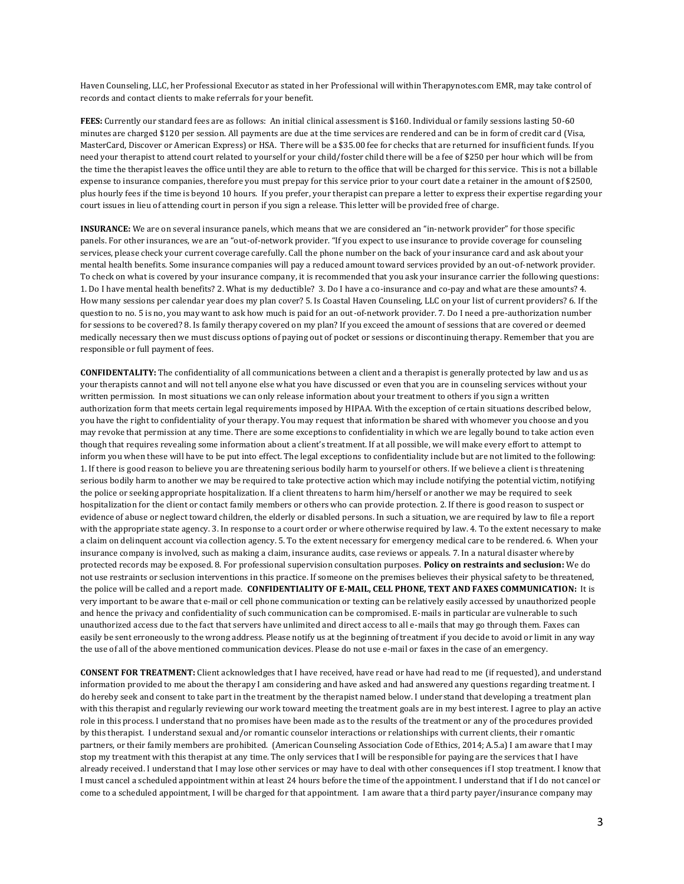Haven Counseling, LLC, her Professional Executor as stated in her Professional will within Therapynotes.com EMR, may take control of records and contact clients to make referrals for your benefit.

**FEES:** Currently our standard fees are as follows: An initial clinical assessment is \$160. Individual or family sessions lasting 50-60 minutes are charged \$120 per session. All payments are due at the time services are rendered and can be in form of credit card (Visa, MasterCard, Discover or American Express) or HSA. There will be a \$35.00 fee for checks that are returned for insufficient funds. If you need your therapist to attend court related to yourself or your child/foster child there will be a fee of \$250 per hour which will be from the time the therapist leaves the office until they are able to return to the office that will be charged for this service. This is not a billable expense to insurance companies, therefore you must prepay for this service prior to your court date a retainer in the amount of \$2500, plus hourly fees if the time is beyond 10 hours. If you prefer, your therapist can prepare a letter to express their expertise regarding your court issues in lieu of attending court in person if you sign a release. This letter will be provided free of charge.

**INSURANCE:** We are on several insurance panels, which means that we are considered an "in-network provider" for those specific panels. For other insurances, we are an "out-of-network provider. "If you expect to use insurance to provide coverage for counseling services, please check your current coverage carefully. Call the phone number on the back of your insurance card and ask about your mental health benefits. Some insurance companies will pay a reduced amount toward services provided by an out-of-network provider. To check on what is covered by your insurance company, it is recommended that you ask your insurance carrier the following questions: 1. Do I have mental health benefits? 2. What is my deductible? 3. Do I have a co-insurance and co-pay and what are these amounts? 4. How many sessions per calendar year does my plan cover? 5. Is Coastal Haven Counseling, LLC on your list of current providers? 6. If the question to no. 5 is no, you may want to ask how much is paid for an out-of-network provider. 7. Do I need a pre-authorization number for sessions to be covered? 8. Is family therapy covered on my plan? If you exceed the amount of sessions that are covered or deemed medically necessary then we must discuss options of paying out of pocket or sessions or discontinuing therapy. Remember that you are responsible or full payment of fees.

**CONFIDENTALITY:** The confidentiality of all communications between a client and a therapist is generally protected by law and us as your therapists cannot and will not tell anyone else what you have discussed or even that you are in counseling services without your written permission. In most situations we can only release information about your treatment to others if you sign a written authorization form that meets certain legal requirements imposed by HIPAA. With the exception of certain situations described below, you have the right to confidentiality of your therapy. You may request that information be shared with whomever you choose and you may revoke that permission at any time. There are some exceptions to confidentiality in which we are legally bound to take action even though that requires revealing some information about a client's treatment. If at all possible, we will make every effort to attempt to inform you when these will have to be put into effect. The legal exceptions to confidentiality include but are not limited to the following: 1. If there is good reason to believe you are threatening serious bodily harm to yourself or others. If we believe a client i s threatening serious bodily harm to another we may be required to take protective action which may include notifying the potential victim, notifying the police or seeking appropriate hospitalization. If a client threatens to harm him/herself or another we may be required to seek hospitalization for the client or contact family members or others who can provide protection. 2. If there is good reason to suspect or evidence of abuse or neglect toward children, the elderly or disabled persons. In such a situation, we are required by law to file a report with the appropriate state agency. 3. In response to a court order or where otherwise required by law. 4. To the extent necessary to make a claim on delinquent account via collection agency. 5. To the extent necessary for emergency medical care to be rendered. 6. When your insurance company is involved, such as making a claim, insurance audits, case reviews or appeals. 7. In a natural disaster whereby protected records may be exposed. 8. For professional supervision consultation purposes. **Policy on restraints and seclusion:** We do not use restraints or seclusion interventions in this practice. If someone on the premises believes their physical safety to be threatened, the police will be called and a report made. **CONFIDENTIALITY OF E-MAIL, CELL PHONE, TEXT AND FAXES COMMUNICATION:** It is very important to be aware that e-mail or cell phone communication or texting can be relatively easily accessed by unauthorized people and hence the privacy and confidentiality of such communication can be compromised. E-mails in particular are vulnerable to such unauthorized access due to the fact that servers have unlimited and direct access to all e-mails that may go through them. Faxes can easily be sent erroneously to the wrong address. Please notify us at the beginning of treatment if you decide to avoid or limit in any way the use of all of the above mentioned communication devices. Please do not use e-mail or faxes in the case of an emergency.

**CONSENT FOR TREATMENT:** Client acknowledges that I have received, have read or have had read to me (if requested), and understand information provided to me about the therapy I am considering and have asked and had answered any questions regarding treatment. I do hereby seek and consent to take part in the treatment by the therapist named below. I understand that developing a treatment plan with this therapist and regularly reviewing our work toward meeting the treatment goals are in my best interest. I agree to play an active role in this process. I understand that no promises have been made as to the results of the treatment or any of the procedures provided by this therapist. I understand sexual and/or romantic counselor interactions or relationships with current clients, their romantic partners, or their family members are prohibited. (American Counseling Association Code of Ethics, 2014; A.5.a) I am aware that I may stop my treatment with this therapist at any time. The only services that I will be responsible for paying are the services that I have already received. I understand that I may lose other services or may have to deal with other consequences if I stop treatment. I know that I must cancel a scheduled appointment within at least 24 hours before the time of the appointment. I understand that if I do not cancel or come to a scheduled appointment, I will be charged for that appointment. I am aware that a third party payer/insurance company may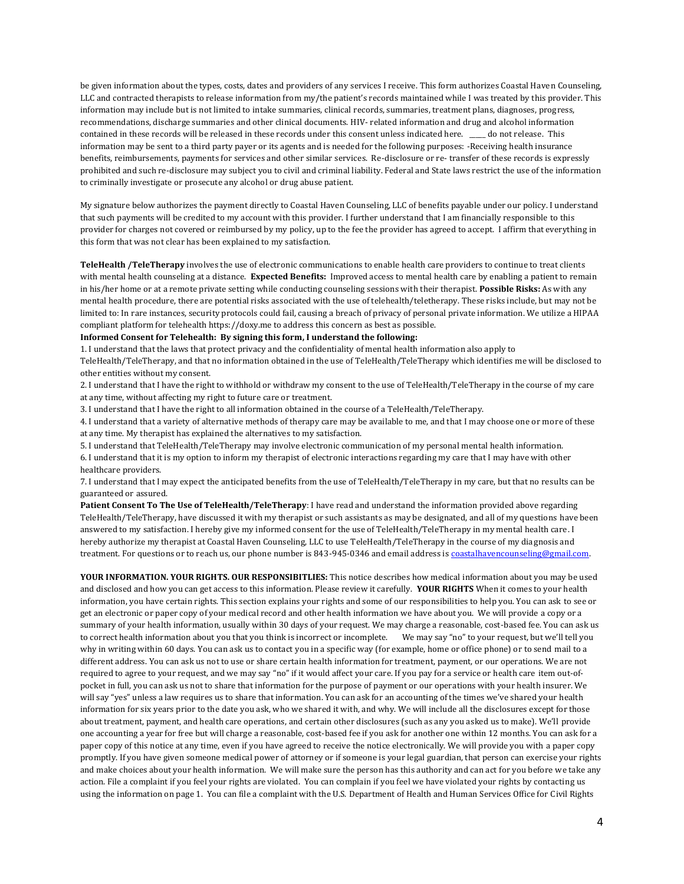be given information about the types, costs, dates and providers of any services I receive. This form authorizes Coastal Haven Counseling, LLC and contracted therapists to release information from my/the patient's records maintained while I was treated by this provider. This information may include but is not limited to intake summaries, clinical records, summaries, treatment plans, diagnoses, progress, recommendations, discharge summaries and other clinical documents. HIV- related information and drug and alcohol information contained in these records will be released in these records under this consent unless indicated here. \_\_\_\_\_ do not release. This information may be sent to a third party payer or its agents and is needed for the following purposes: -Receiving health insurance benefits, reimbursements, payments for services and other similar services. Re-disclosure or re- transfer of these records is expressly prohibited and such re-disclosure may subject you to civil and criminal liability. Federal and State laws restrict the use of the information to criminally investigate or prosecute any alcohol or drug abuse patient.

My signature below authorizes the payment directly to Coastal Haven Counseling, LLC of benefits payable under our policy. I understand that such payments will be credited to my account with this provider. I further understand that I am financially responsible to this provider for charges not covered or reimbursed by my policy, up to the fee the provider has agreed to accept. I affirm that everything in this form that was not clear has been explained to my satisfaction.

**TeleHealth /TeleTherapy** involves the use of electronic communications to enable health care providers to continue to treat clients with mental health counseling at a distance. **Expected Benefits:** Improved access to mental health care by enabling a patient to remain in his/her home or at a remote private setting while conducting counseling sessions with their therapist. **Possible Risks:** As with any mental health procedure, there are potential risks associated with the use of telehealth/teletherapy. These risks include, but may not be limited to: In rare instances, security protocols could fail, causing a breach of privacy of personal private information. We utilize a HIPAA compliant platform for telehealth https://doxy.me to address this concern as best as possible.

#### **Informed Consent for Telehealth: By signing this form, I understand the following:**

1. I understand that the laws that protect privacy and the confidentiality of mental health information also apply to

TeleHealth/TeleTherapy, and that no information obtained in the use of TeleHealth/TeleTherapy which identifies me will be disclosed to other entities without my consent.

2. I understand that I have the right to withhold or withdraw my consent to the use of TeleHealth/TeleTherapy in the course of my care at any time, without affecting my right to future care or treatment.

3. I understand that I have the right to all information obtained in the course of a TeleHealth/TeleTherapy.

4. I understand that a variety of alternative methods of therapy care may be available to me, and that I may choose one or more of these at any time. My therapist has explained the alternatives to my satisfaction.

5. I understand that TeleHealth/TeleTherapy may involve electronic communication of my personal mental health information.

6. I understand that it is my option to inform my therapist of electronic interactions regarding my care that I may have with other healthcare providers.

7. I understand that I may expect the anticipated benefits from the use of TeleHealth/TeleTherapy in my care, but that no results can be guaranteed or assured.

**Patient Consent To The Use of TeleHealth/TeleTherapy**: I have read and understand the information provided above regarding TeleHealth/TeleTherapy, have discussed it with my therapist or such assistants as may be designated, and all of my questions have been answered to my satisfaction. I hereby give my informed consent for the use of TeleHealth/TeleTherapy in my mental health care. I hereby authorize my therapist at Coastal Haven Counseling, LLC to use TeleHealth/TeleTherapy in the course of my diagnosis and treatment. For questions or to reach us, our phone number is 843-945-0346 and email address i[s coastalhavencounseling@gmail.com.](mailto:coastalhavencounseling@gmail.com)

**YOUR INFORMATION. YOUR RIGHTS. OUR RESPONSIBITLIES:** This notice describes how medical information about you may be used and disclosed and how you can get access to this information. Please review it carefully. **YOUR RIGHTS** When it comes to your health information, you have certain rights. This section explains your rights and some of our responsibilities to help you. You can ask to see or get an electronic or paper copy of your medical record and other health information we have about you. We will provide a copy or a summary of your health information, usually within 30 days of your request. We may charge a reasonable, cost-based fee. You can ask us to correct health information about you that you think is incorrect or incomplete. We may say "no" to your request, but we'll tell you why in writing within 60 days. You can ask us to contact you in a specific way (for example, home or office phone) or to send mail to a different address. You can ask us not to use or share certain health information for treatment, payment, or our operations. We are not required to agree to your request, and we may say "no" if it would affect your care. If you pay for a service or health care item out-ofpocket in full, you can ask us not to share that information for the purpose of payment or our operations with your health insurer. We will say "yes" unless a law requires us to share that information. You can ask for an accounting of the times we've shared your health information for six years prior to the date you ask, who we shared it with, and why. We will include all the disclosures except for those about treatment, payment, and health care operations, and certain other disclosures (such as any you asked us to make). We'll provide one accounting a year for free but will charge a reasonable, cost-based fee if you ask for another one within 12 months. You can ask for a paper copy of this notice at any time, even if you have agreed to receive the notice electronically. We will provide you with a paper copy promptly. If you have given someone medical power of attorney or if someone is your legal guardian, that person can exercise your rights and make choices about your health information. We will make sure the person has this authority and can act for you before we take any action. File a complaint if you feel your rights are violated. You can complain if you feel we have violated your rights by contacting us using the information on page 1. You can file a complaint with the U.S. Department of Health and Human Services Office for Civil Rights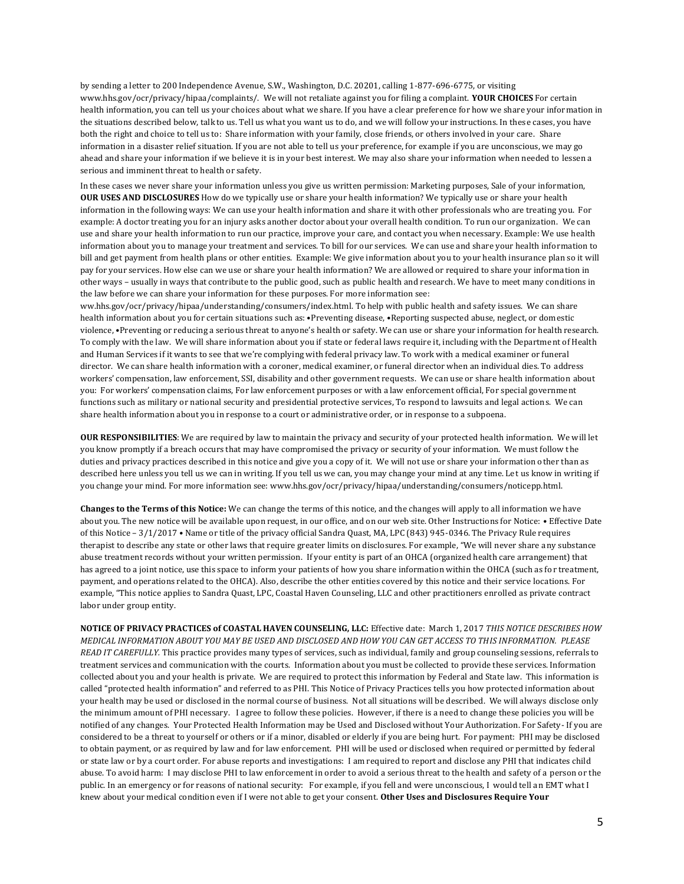by sending a letter to 200 Independence Avenue, S.W., Washington, D.C. 20201, calling 1-877-696-6775, or visiting www.hhs.gov/ocr/privacy/hipaa/complaints/. We will not retaliate against you for filing a complaint. **YOUR CHOICES** For certain health information, you can tell us your choices about what we share. If you have a clear preference for how we share your information in the situations described below, talk to us. Tell us what you want us to do, and we will follow your instructions. In these cases, you have both the right and choice to tell us to: Share information with your family, close friends, or others involved in your care. Share information in a disaster relief situation. If you are not able to tell us your preference, for example if you are unconscious, we may go ahead and share your information if we believe it is in your best interest. We may also share your information when needed to lessen a serious and imminent threat to health or safety.

In these cases we never share your information unless you give us written permission: Marketing purposes, Sale of your information, **OUR USES AND DISCLOSURES** How do we typically use or share your health information? We typically use or share your health information in the following ways: We can use your health information and share it with other professionals who are treating you. For example: A doctor treating you for an injury asks another doctor about your overall health condition. To run our organization. We can use and share your health information to run our practice, improve your care, and contact you when necessary. Example: We use health information about you to manage your treatment and services. To bill for our services. We can use and share your health information to bill and get payment from health plans or other entities. Example: We give information about you to your health insurance plan so it will pay for your services. How else can we use or share your health information? We are allowed or required to share your information in other ways – usually in ways that contribute to the public good, such as public health and research. We have to meet many conditions in the law before we can share your information for these purposes. For more information see:

ww.hhs.gov/ocr/privacy/hipaa/understanding/consumers/index.html. To help with public health and safety issues. We can share health information about you for certain situations such as: •Preventing disease, •Reporting suspected abuse, neglect, or domestic violence, •Preventing or reducing a serious threat to anyone's health or safety. We can use or share your information for health research. To comply with the law. We will share information about you if state or federal laws require it, including with the Department of Health and Human Services if it wants to see that we're complying with federal privacy law. To work with a medical examiner or funeral director. We can share health information with a coroner, medical examiner, or funeral director when an individual dies. To address workers' compensation, law enforcement, SSI, disability and other government requests. We can use or share health information about you: For workers' compensation claims, For law enforcement purposes or with a law enforcement official, For special government functions such as military or national security and presidential protective services, To respond to lawsuits and legal actions. We can share health information about you in response to a court or administrative order, or in response to a subpoena.

**OUR RESPONSIBILITIES**: We are required by law to maintain the privacy and security of your protected health information. We will let you know promptly if a breach occurs that may have compromised the privacy or security of your information. We must follow the duties and privacy practices described in this notice and give you a copy of it. We will not use or share your information other than as described here unless you tell us we can in writing. If you tell us we can, you may change your mind at any time. Let us know in writing if you change your mind. For more information see: www.hhs.gov/ocr/privacy/hipaa/understanding/consumers/noticepp.html.

**Changes to the Terms of this Notice:** We can change the terms of this notice, and the changes will apply to all information we have about you. The new notice will be available upon request, in our office, and on our web site. Other Instructions for Notice: • Effective Date of this Notice – 3/1/2017 • Name or title of the privacy official Sandra Quast, MA, LPC (843) 945-0346. The Privacy Rule requires therapist to describe any state or other laws that require greater limits on disclosures. For example, "We will never share any substance abuse treatment records without your written permission. If your entity is part of an OHCA (organized health care arrangement) that has agreed to a joint notice, use this space to inform your patients of how you share information within the OHCA (such as for treatment, payment, and operations related to the OHCA). Also, describe the other entities covered by this notice and their service locations. For example, "This notice applies to Sandra Quast, LPC, Coastal Haven Counseling, LLC and other practitioners enrolled as private contract labor under group entity.

**NOTICE OF PRIVACY PRACTICES of COASTAL HAVEN COUNSELING, LLC:** Effective date: March 1, 2017 *THIS NOTICE DESCRIBES HOW MEDICAL INFORMATION ABOUT YOU MAY BE USED AND DISCLOSED AND HOW YOU CAN GET ACCESS TO THIS INFORMATION. PLEASE READ IT CAREFULLY.* This practice provides many types of services, such as individual, family and group counseling sessions, referrals to treatment services and communication with the courts. Information about you must be collected to provide these services. Information collected about you and your health is private. We are required to protect this information by Federal and State law. This information is called "protected health information" and referred to as PHI. This Notice of Privacy Practices tells you how protected information about your health may be used or disclosed in the normal course of business. Not all situations will be described. We will always disclose only the minimum amount of PHI necessary. I agree to follow these policies. However, if there is a need to change these policies you will be notified of any changes. Your Protected Health Information may be Used and Disclosed without Your Authorization. For Safety- If you are considered to be a threat to yourself or others or if a minor, disabled or elderly if you are being hurt. For payment: PHI may be disclosed to obtain payment, or as required by law and for law enforcement. PHI will be used or disclosed when required or permitted by federal or state law or by a court order. For abuse reports and investigations: I am required to report and disclose any PHI that indicates child abuse. To avoid harm: I may disclose PHI to law enforcement in order to avoid a serious threat to the health and safety of a person or the public. In an emergency or for reasons of national security: For example, if you fell and were unconscious, I would tell an EMT what I knew about your medical condition even if I were not able to get your consent. **Other Uses and Disclosures Require Your**